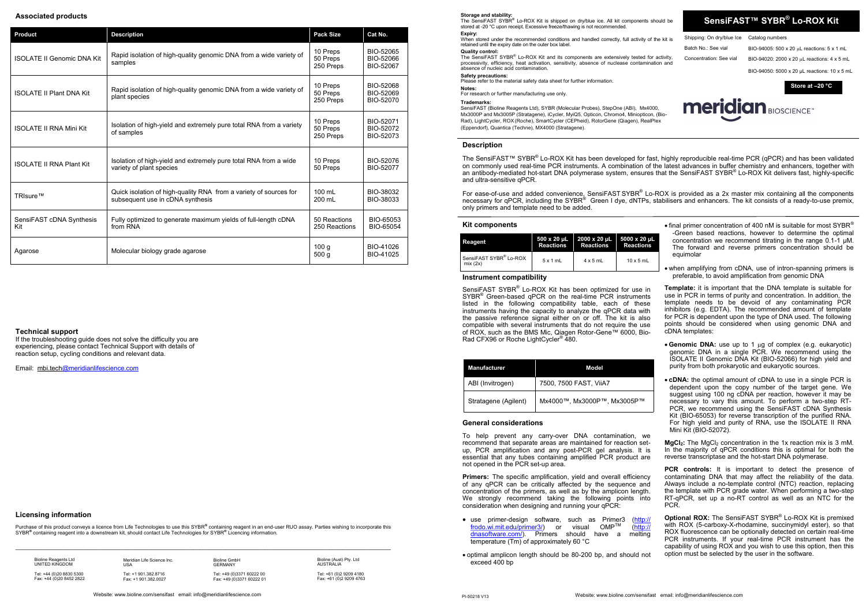**SensiFAST™ SYBR ® Lo-ROX Kit**

Shipping: On dry/blue Ice Catalog numbers

Batch No.: See vial BIO-94005: 500 x 20 µL reactions: 5 x 1 mL Concentration: See vial BIO-94020: 2000 x 20  $\mu$ L reactions: 4 x 5 mL BIO-94050: 5000 x 20 µL reactions: 10 x 5 mL

**Expiry:**<br>When stored under the recommended conditions and handled correctly, full activity of the kit is retained until the expiry date on the outer box label.

The SensiFAST SYBR<sup>®</sup> Lo-ROX Kit and its components are extensively tested for activity, processivity, efficiency, heat activation, sensitivity, absence of nuclease contamination and absence of nucleic acid contamination.

#### **Quality control:**

## **Safety precautions:**

Please refer to the material safety data sheet for further information.

**Notes:**  For research or further manufacturing use only.

#### **Trademarks:**

The SensiFAST™ SYBR<sup>®</sup> Lo-ROX Kit has been developed for fast, highly reproducible real-time PCR (qPCR) and has been validated on commonly used real-time PCR instruments. A combination of the latest advances in buffer chemistry and enhancers, together with an antibody-mediated hot-start DNA polymerase system, ensures that the SensiFAST SYBR ® Lo-ROX Kit delivers fast, highly-specific and ultra-sensitive qPCR.

SensiFAST (Bioline Reagents Ltd), SYBR (Molecular Probes), StepOne (ABI), Mx4000, Mx3000P and Mx3005P (Stratagene), iCycler, MyiQ5, Opticon, Chromo4, Miniopticon, (Bio-Rad), LightCycler, ROX(Roche), SmartCycler (CEPheid), RotorGene (Qiagen), RealPlex (Eppendorf), Quantica (Techne), MX4000 (Stratagene).

For ease-of-use and added convenience, SensiFAST SYBR® Lo-ROX is provided as a 2x master mix containing all the components necessary for qPCR, including the SYBR® Green I dye, dNTPs, stabilisers and enhancers. The kit consists of a ready-to-use premix, only primers and template need to be added.

### **Kit components**

**Store at –20 °C**

**meridian BIOSCIENCE** 

- $\bullet$  final primer concentration of 400 nM is suitable for most SYBR® -Green based reactions, however to determine the optimal concentration we recommend titrating in the range 0.1-1 μM. The forward and reverse primers concentration should be equimolar
- when amplifying from cDNA, use of intron-spanning primers is preferable, to avoid amplification from genomic DNA

## **Description**

- Genomic DNA: use up to 1 µg of complex (e.g. eukaryotic) genomic DNA in a single PCR. We recommend using the ISOLATE II Genomic DNA Kit (BIO-52066) for high yield and purity from both prokaryotic and eukaryotic sources.
- **cDNA:** the optimal amount of cDNA to use in a single PCR is dependent upon the copy number of the target gene. We suggest using 100 ng cDNA per reaction, however it may be necessary to vary this amount. To perform a two-step RT-PCR, we recommend using the SensiFAST cDNA Synthesis Kit (BIO-65053) for reverse transcription of the purified RNA. For high yield and purity of RNA, use the ISOLATE II RNA Mini Kit (BIO-52072).

**MgCl<sub>2</sub>**: The MgCl<sub>2</sub> concentration in the 1x reaction mix is 3 mM. In the majority of qPCR conditions this is optimal for both the reverse transcriptase and the hot-start DNA polymerase.

**PCR controls:** It is important to detect the presence of contaminating DNA that may affect the reliability of the data. Always include a no-template control (NTC) reaction, replacing the template with PCR grade water. When performing a two-step RT-qPCR, set up a no-RT control as well as an NTC for the PCR.

### **Instrument compatibility**

SensiFAST SYBR® Lo-ROX Kit has been optimized for use in SYBR<sup>®</sup> Green-based qPCR on the real-time PCR instruments listed in the following compatibility table, each of these instruments having the capacity to analyze the qPCR data with the passive reference signal either on or off. The kit is also compatible with several instruments that do not require the use of ROX, such as the BMS Mic, Qiagen Rotor-Gene™ 6000, Bio-Rad CFX96 or Roche LightCycler® 480.

**Primers:** The specific amplification, yield and overall efficiency of any qPCR can be critically affected by the sequence and concentration of the primers, as well as by the amplicon length. We strongly recommend taking the following points into consideration when designing and running your qPCR:

- use primer-design software, such as Primer3  $(\frac{http://r.000 wi.mit.edu/prime3/)}{http://r.000 wi.mit.edu/prime3/})$  $(\frac{http://r.000 wi.mit.edu/prime3/)}{http://r.000 wi.mit.edu/prime3/})$  $(\frac{http://r.000 wi.mit.edu/prime3/)}{http://r.000 wi.mit.edu/prime3/})$  or visual  $OMP^{TM}$  (http:// [frodo.wi.mit.edu/primer3/\)](http://frodo.wi.mit.edu/primer3/) or visual [dnasoftware.com/\)](http://dnasoftware.com/). Primers should have a melting temperature (Tm) of approximately 60 °C
- optimal amplicon length should be 80-200 bp, and should not exceed 400 bp

**Template:** it is important that the DNA template is suitable for use in PCR in terms of purity and concentration. In addition, the template needs to be devoid of any contaminating PCR inhibitors (e.g. EDTA). The recommended amount of template for PCR is dependent upon the type of DNA used. The following points should be considered when using genomic DNA and cDNA templates:

Purchase of this product conveys a licence from Life Technologies to use this SYBR® containing reagent in an end-user RUO assay. Parties wishing to incorporate this SYBR**®** containing reagent into a downstream kit, should contact Life Technologies for SYBR**®** Licencing information.

 $\_$  , and the state of the state of the state of the state of the state of the state of the state of the state of the state of the state of the state of the state of the state of the state of the state of the state of the

Tel: +61 (0)2 9209 4180 Fax: +61 (0) 2 9 209 4763

**Storage and stability:**<br>The SensiFAST SYBR® Lo-ROX Kit is shipped on dry/blue ice. All kit components should be stored at -20 °C upon receipt. Excessive freeze/thawing is not recommended

> **Optional ROX:** The SensiFAST SYBR ® Lo-ROX Kit is premixed with ROX (5-carboxy-X-rhodamine, succinymidyl ester), so that ROX fluorescence can be optionally detected on certain real-time PCR instruments. If your real-time PCR instrument has the capability of using  $ROX$  and you wish to use this option, then this option must be selected by the user in the software.

#### **General considerations**

To help prevent any carry-over DNA contamination, we recommend that separate areas are maintained for reaction setup, PCR amplification and any post-PCR gel analysis. It is essential that any tubes containing amplified PCR product are not opened in the PCR set-up area.

| Reagent                                       | 500 x 20 µL      | 2000 x 20 µL     | 5000 x 20 µL     |
|-----------------------------------------------|------------------|------------------|------------------|
|                                               | <b>Reactions</b> | <b>Reactions</b> | <b>Reactions</b> |
| SensiFAST SYBR <sup>®</sup> Lo-ROX<br>mix(2x) | 5x1mL            | $4 \times 5$ mL  | $10 \times 5$ mL |

| <b>Manufacturer</b>  | Model                       |
|----------------------|-----------------------------|
| ABI (Invitrogen)     | 7500, 7500 FAST, ViiA7      |
| Stratagene (Agilent) | Mx4000™, Mx3000P™, Mx3005P™ |

## **Licensing information**

## **Associated products**

| <b>Product</b>                    | <b>Description</b>                                                                                    | <b>Pack Size</b>                     | Cat No.                             |
|-----------------------------------|-------------------------------------------------------------------------------------------------------|--------------------------------------|-------------------------------------|
| <b>ISOLATE II Genomic DNA Kit</b> | Rapid isolation of high-quality genomic DNA from a wide variety of<br>samples                         | 10 Preps<br>50 Preps<br>250 Preps    | BIO-52065<br>BIO-52066<br>BIO-52067 |
| <b>ISOLATE II Plant DNA Kit</b>   | Rapid isolation of high-quality genomic DNA from a wide variety of<br>plant species                   | 10 Preps<br>50 Preps<br>250 Preps    | BIO-52068<br>BIO-52069<br>BIO-52070 |
| <b>ISOLATE II RNA Mini Kit</b>    | Isolation of high-yield and extremely pure total RNA from a variety<br>of samples                     | 10 Preps<br>50 Preps<br>250 Preps    | BIO-52071<br>BIO-52072<br>BIO-52073 |
| <b>ISOLATE II RNA Plant Kit</b>   | Isolation of high-yield and extremely pure total RNA from a wide<br>variety of plant species          | 10 Preps<br>50 Preps                 | BIO-52076<br><b>BIO-52077</b>       |
| TRIsure™                          | Quick isolation of high-quality RNA from a variety of sources for<br>subsequent use in cDNA synthesis | $100 \text{ ml}$<br>200 mL           | BIO-38032<br>BIO-38033              |
| SensiFAST cDNA Synthesis<br>Kit   | Fully optimized to generate maximum yields of full-length cDNA<br>from RNA                            | 50 Reactions<br>250 Reactions        | BIO-65053<br>BIO-65054              |
| Agarose                           | Molecular biology grade agarose                                                                       | 100 <sub>g</sub><br>500 <sub>g</sub> | BIO-41026<br>BIO-41025              |

#### **Technical support**

If the troubleshooting guide does not solve the difficulty you are experiencing, please contact Technical Support with details of reaction setup, cycling conditions and relevant data.

Email: [mbi.tech@meridianlifescience.com](mailto:tech@bioline.com)

Bioline Reagents Ltd UNITED KINGDOM Tel: +44 (0)20 8830 5300 Fax: +44 (0)20 8452 2822 Meridian Life Science Inc. USA Tel: +1 901.382.8716 Fax: +1 901.382.0027

**GERMANY** Tel: +49 (0)3371 60222 00 Fax: +49 (0)3371 60222 0

Bioline GmbH

Bioline (Aust) Pty. Ltd AUSTRALIA